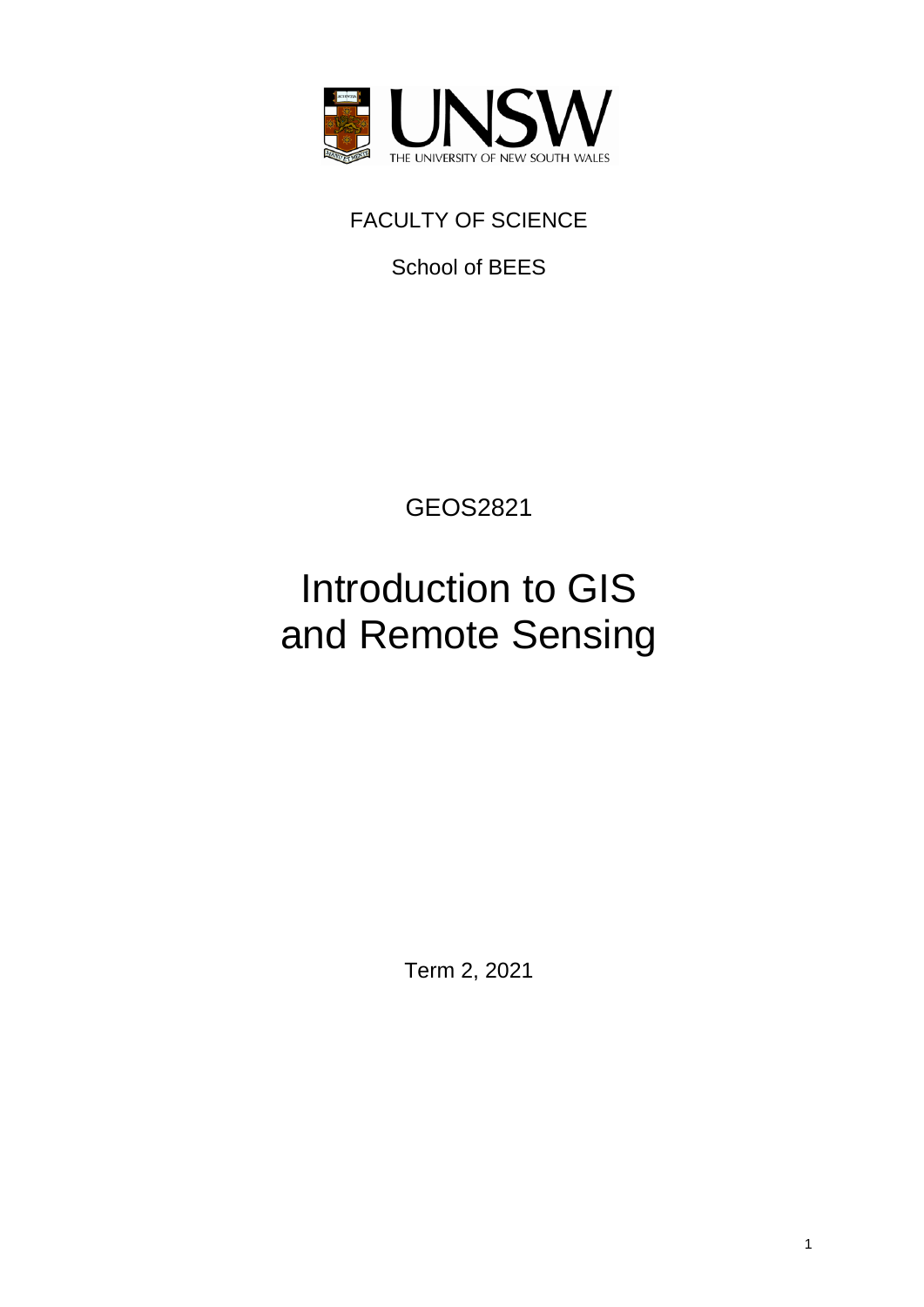

# FACULTY OF SCIENCE

School of BEES

GEOS2821

# Introduction to GIS and Remote Sensing

Term 2, 2021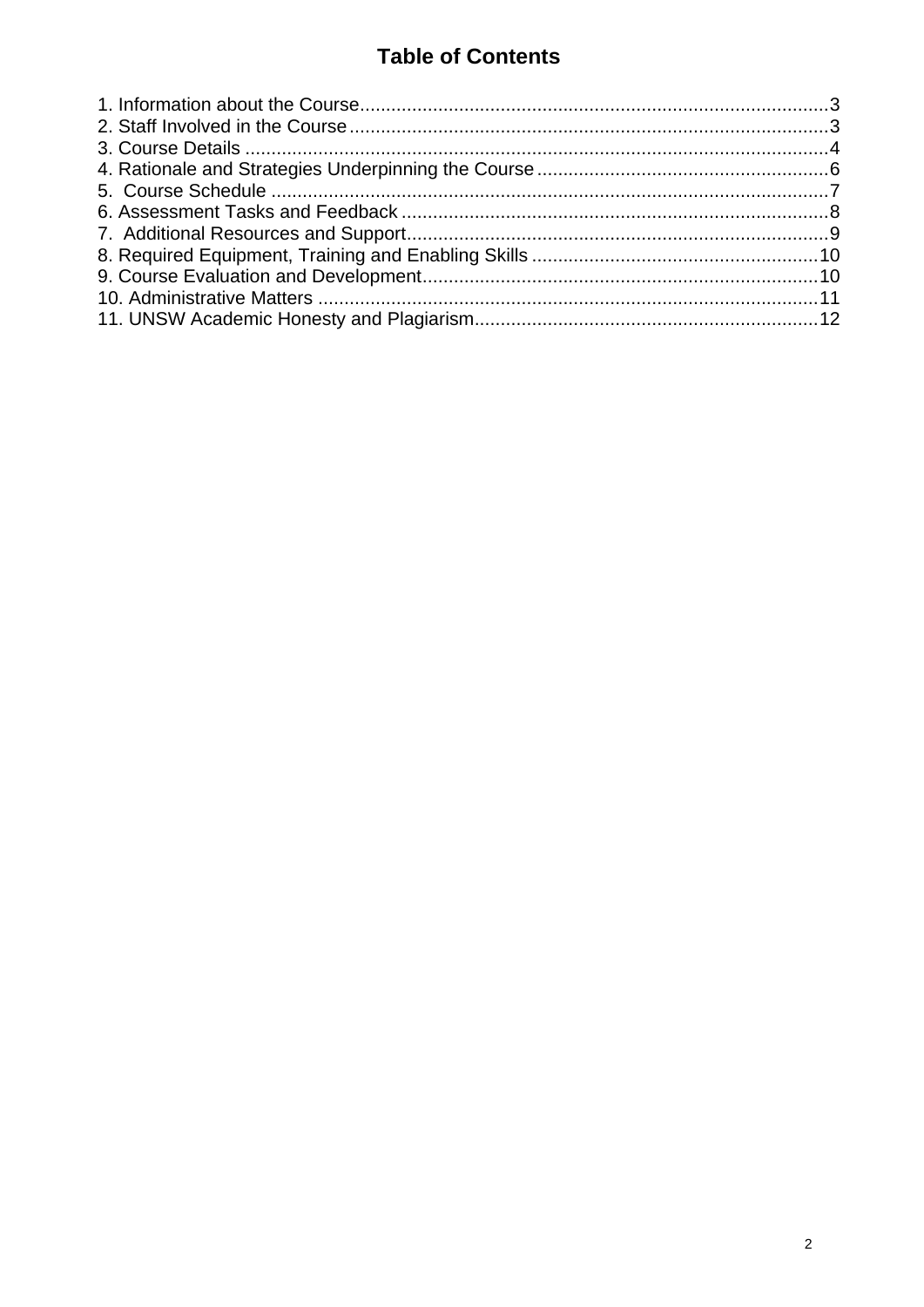## **Table of Contents**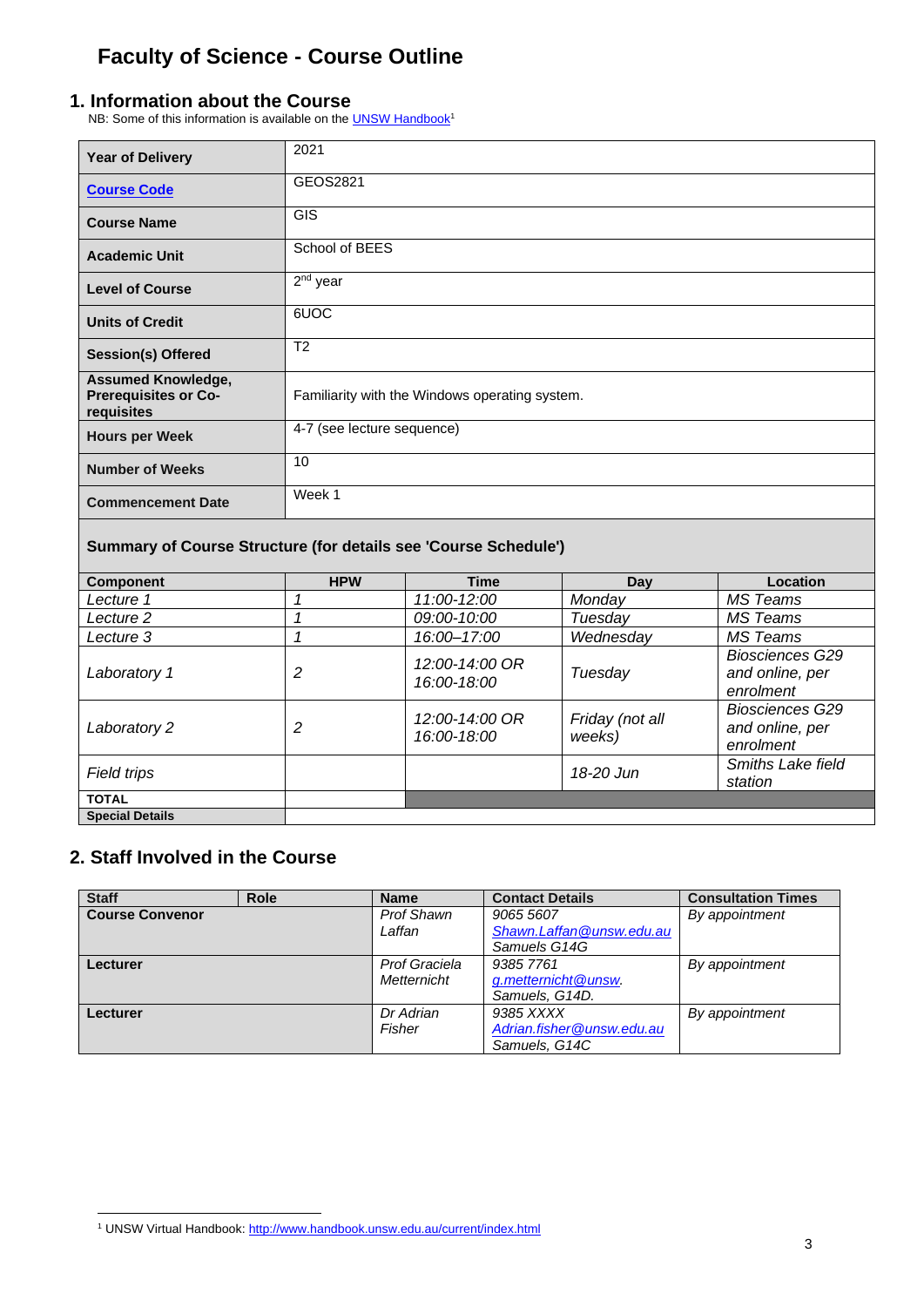# **Faculty of Science - Course Outline**

#### <span id="page-2-0"></span>**1. Information about the Course**

NB: Some of this information is available on the **UNSW Handbook<sup>1</sup>** 

| <b>Year of Delivery</b>                                                | 2021                                           |  |
|------------------------------------------------------------------------|------------------------------------------------|--|
| <b>Course Code</b>                                                     | GEOS2821                                       |  |
| <b>Course Name</b>                                                     | <b>GIS</b>                                     |  |
| <b>Academic Unit</b>                                                   | School of BEES                                 |  |
| <b>Level of Course</b>                                                 | $2nd$ year                                     |  |
| <b>Units of Credit</b>                                                 | 6UOC                                           |  |
| <b>Session(s) Offered</b>                                              | T <sub>2</sub>                                 |  |
| <b>Assumed Knowledge,</b><br><b>Prerequisites or Co-</b><br>requisites | Familiarity with the Windows operating system. |  |
| <b>Hours per Week</b>                                                  | 4-7 (see lecture sequence)                     |  |
| <b>Number of Weeks</b>                                                 | 10                                             |  |
| <b>Commencement Date</b>                                               | Week 1                                         |  |
| Summary of Course Structure (for details see 'Course Schedule')        |                                                |  |

| <b>Component</b>       | <b>HPW</b> | <b>Time</b>                   | Day                       | Location                                               |
|------------------------|------------|-------------------------------|---------------------------|--------------------------------------------------------|
| Lecture 1              |            | 11:00-12:00                   | Monday                    | MS Teams                                               |
| Lecture 2              |            | 09:00-10:00                   | Tuesday                   | MS Teams                                               |
| Lecture 3              |            | 16:00-17:00                   | Wednesday                 | MS Teams                                               |
| Laboratory 1           | 2          | 12:00-14:00 OR<br>16:00-18:00 | Tuesday                   | <b>Biosciences G29</b><br>and online, per<br>enrolment |
| Laboratory 2           | 2          | 12:00-14:00 OR<br>16:00-18:00 | Friday (not all<br>weeks) | <b>Biosciences G29</b><br>and online, per<br>enrolment |
| Field trips            |            |                               | 18-20 Jun                 | <b>Smiths Lake field</b><br>station                    |
| <b>TOTAL</b>           |            |                               |                           |                                                        |
| <b>Special Details</b> |            |                               |                           |                                                        |

### <span id="page-2-1"></span>**2. Staff Involved in the Course**

| <b>Staff</b>           | <b>Role</b> | <b>Name</b>       | <b>Contact Details</b>    | <b>Consultation Times</b> |
|------------------------|-------------|-------------------|---------------------------|---------------------------|
| <b>Course Convenor</b> |             | <b>Prof Shawn</b> | 9065 5607                 | By appointment            |
|                        |             | Laffan            | Shawn.Laffan@unsw.edu.au  |                           |
|                        |             |                   | Samuels G14G              |                           |
| Lecturer               |             | Prof Graciela     | 9385 7761                 | By appointment            |
|                        |             | Metternicht       | g.metternicht@unsw.       |                           |
|                        |             |                   | Samuels, G14D.            |                           |
| Lecturer               |             | Dr Adrian         | 9385 XXXX                 | By appointment            |
|                        |             | Fisher            | Adrian.fisher@unsw.edu.au |                           |
|                        |             |                   | Samuels, G14C             |                           |

<sup>&</sup>lt;sup>1</sup> UNSW Virtual Handbook[: http://www.handbook.unsw.edu.au/current/index.html](http://www.handbook.unsw.edu.au/2008/index.html)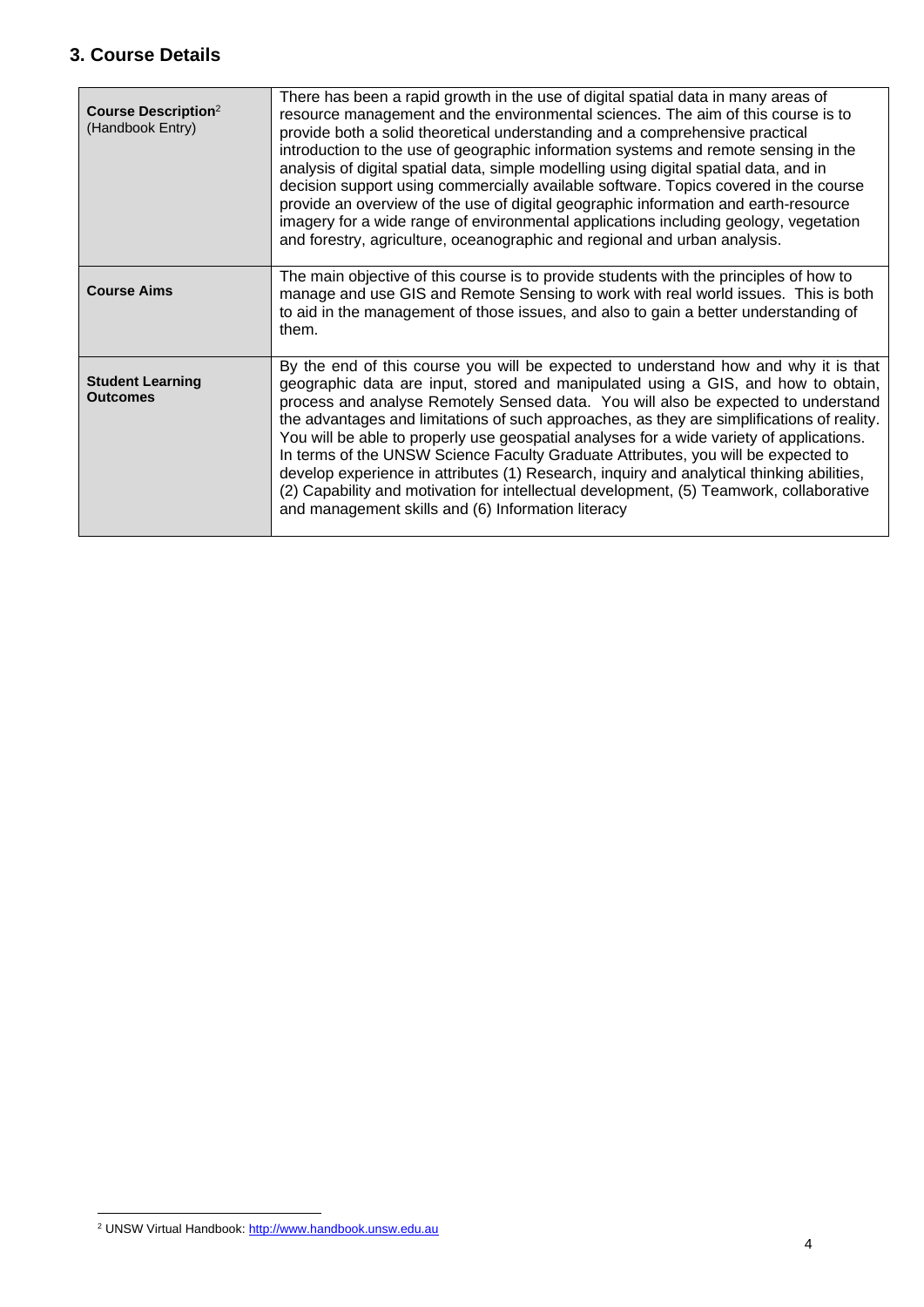### <span id="page-3-0"></span>**3. Course Details**

| <b>Course Description</b> <sup>2</sup><br>(Handbook Entry) | There has been a rapid growth in the use of digital spatial data in many areas of<br>resource management and the environmental sciences. The aim of this course is to<br>provide both a solid theoretical understanding and a comprehensive practical<br>introduction to the use of geographic information systems and remote sensing in the<br>analysis of digital spatial data, simple modelling using digital spatial data, and in<br>decision support using commercially available software. Topics covered in the course<br>provide an overview of the use of digital geographic information and earth-resource<br>imagery for a wide range of environmental applications including geology, vegetation<br>and forestry, agriculture, oceanographic and regional and urban analysis.  |
|------------------------------------------------------------|--------------------------------------------------------------------------------------------------------------------------------------------------------------------------------------------------------------------------------------------------------------------------------------------------------------------------------------------------------------------------------------------------------------------------------------------------------------------------------------------------------------------------------------------------------------------------------------------------------------------------------------------------------------------------------------------------------------------------------------------------------------------------------------------|
| <b>Course Aims</b>                                         | The main objective of this course is to provide students with the principles of how to<br>manage and use GIS and Remote Sensing to work with real world issues. This is both<br>to aid in the management of those issues, and also to gain a better understanding of<br>them.                                                                                                                                                                                                                                                                                                                                                                                                                                                                                                              |
| <b>Student Learning</b><br><b>Outcomes</b>                 | By the end of this course you will be expected to understand how and why it is that<br>geographic data are input, stored and manipulated using a GIS, and how to obtain,<br>process and analyse Remotely Sensed data. You will also be expected to understand<br>the advantages and limitations of such approaches, as they are simplifications of reality.<br>You will be able to properly use geospatial analyses for a wide variety of applications.<br>In terms of the UNSW Science Faculty Graduate Attributes, you will be expected to<br>develop experience in attributes (1) Research, inquiry and analytical thinking abilities,<br>(2) Capability and motivation for intellectual development, (5) Teamwork, collaborative<br>and management skills and (6) Information literacy |

<sup>&</sup>lt;sup>2</sup> UNSW Virtual Handbook[: http://www.handbook.unsw.edu.au](http://www.handbook.unsw.edu.au/)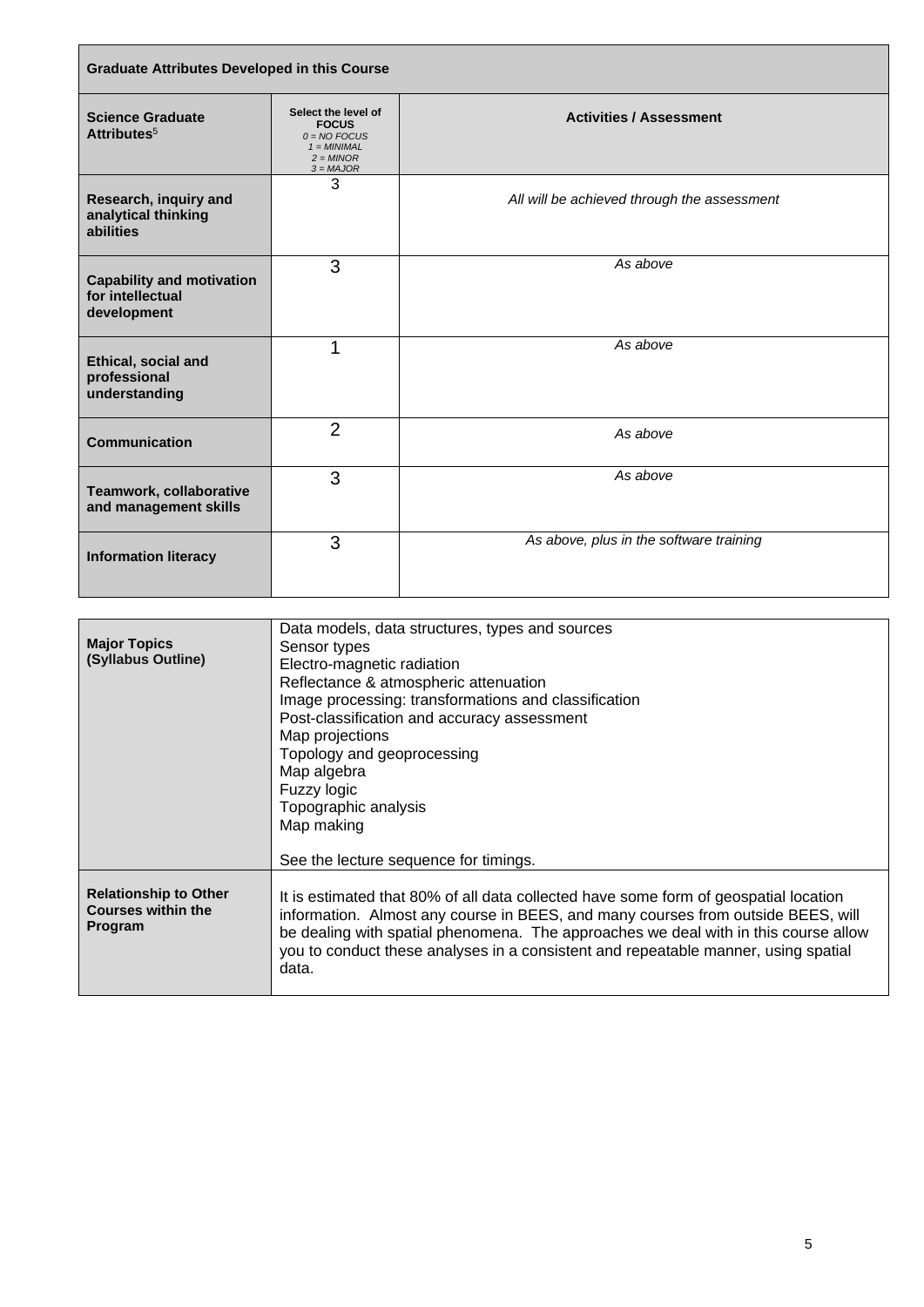| <b>Graduate Attributes Developed in this Course</b>                 |                                                                                                      |                                             |
|---------------------------------------------------------------------|------------------------------------------------------------------------------------------------------|---------------------------------------------|
| <b>Science Graduate</b><br>Attributes <sup>5</sup>                  | Select the level of<br><b>FOCUS</b><br>$0 = NO$ FOCUS<br>$1 = MINIMAL$<br>$2 = MINOR$<br>$3 = MAJOR$ | <b>Activities / Assessment</b>              |
| Research, inquiry and<br>analytical thinking<br>abilities           | 3                                                                                                    | All will be achieved through the assessment |
| <b>Capability and motivation</b><br>for intellectual<br>development | 3                                                                                                    | As above                                    |
| Ethical, social and<br>professional<br>understanding                | 1                                                                                                    | As above                                    |
| <b>Communication</b>                                                | $\overline{2}$                                                                                       | As above                                    |
| Teamwork, collaborative<br>and management skills                    | 3                                                                                                    | As above                                    |
| <b>Information literacy</b>                                         | 3                                                                                                    | As above, plus in the software training     |

| <b>Major Topics</b><br>(Syllabus Outline)                                   | Data models, data structures, types and sources<br>Sensor types<br>Electro-magnetic radiation<br>Reflectance & atmospheric attenuation<br>Image processing: transformations and classification<br>Post-classification and accuracy assessment<br>Map projections<br>Topology and geoprocessing<br>Map algebra<br>Fuzzy logic<br>Topographic analysis<br>Map making |
|-----------------------------------------------------------------------------|--------------------------------------------------------------------------------------------------------------------------------------------------------------------------------------------------------------------------------------------------------------------------------------------------------------------------------------------------------------------|
|                                                                             | See the lecture sequence for timings.                                                                                                                                                                                                                                                                                                                              |
| <b>Relationship to Other</b><br><b>Courses within the</b><br><b>Program</b> | It is estimated that 80% of all data collected have some form of geospatial location<br>information. Almost any course in BEES, and many courses from outside BEES, will<br>be dealing with spatial phenomena. The approaches we deal with in this course allow<br>you to conduct these analyses in a consistent and repeatable manner, using spatial<br>data.     |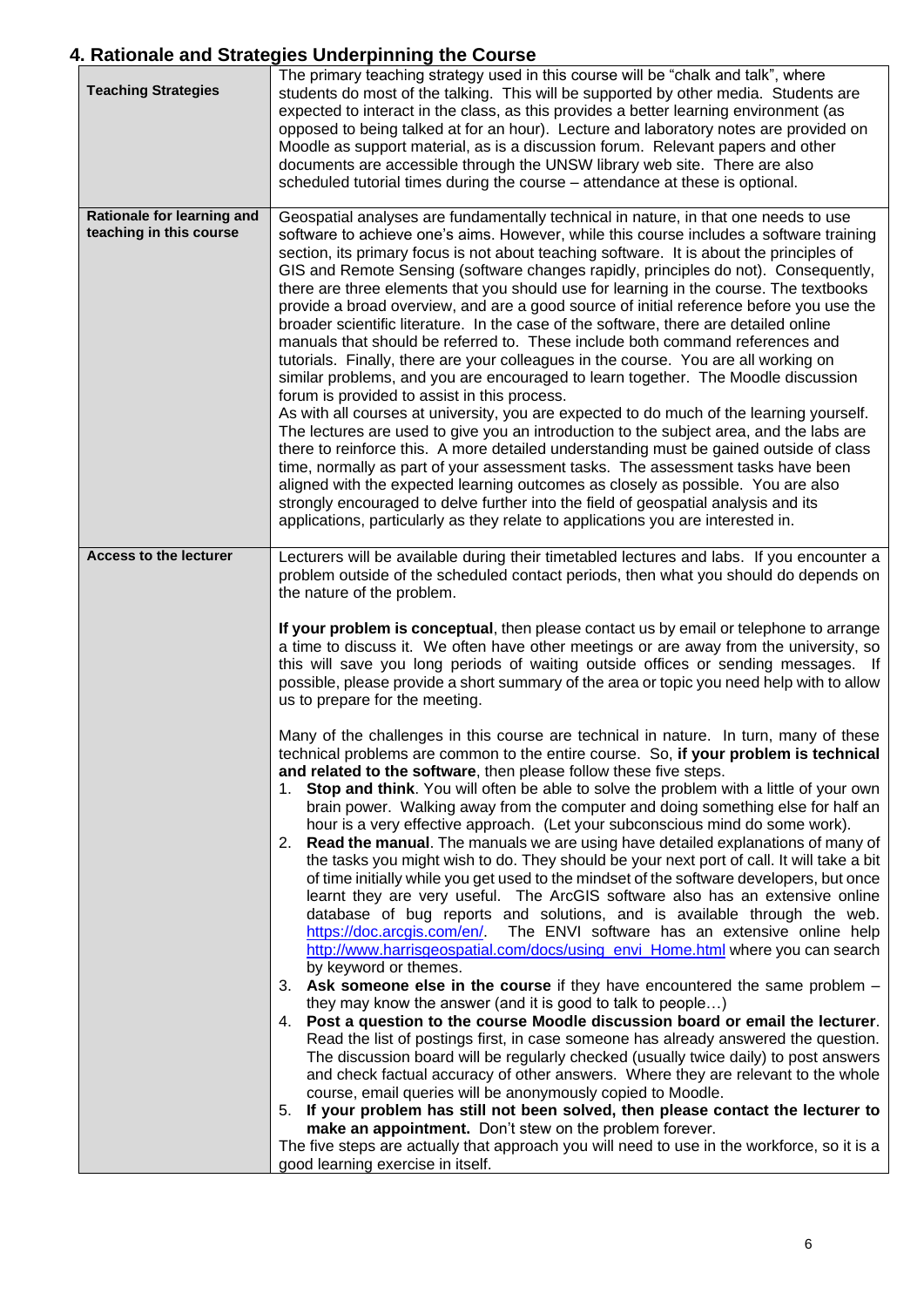### <span id="page-5-0"></span>**4. Rationale and Strategies Underpinning the Course**

| <b>Teaching Strategies</b>                            | The primary teaching strategy used in this course will be "chalk and talk", where<br>students do most of the talking. This will be supported by other media. Students are<br>expected to interact in the class, as this provides a better learning environment (as<br>opposed to being talked at for an hour). Lecture and laboratory notes are provided on<br>Moodle as support material, as is a discussion forum. Relevant papers and other<br>documents are accessible through the UNSW library web site. There are also<br>scheduled tutorial times during the course - attendance at these is optional.                                                                                                                                                                                                                                                                                                                                                                                                                                                                                                                                                                                                                                                                                                                                                                                                                                                                                                                                                                                                                                                                                                                                                                                                                                                                                                                                                                                                                                                                                                                                                                                                                                                                                                                                                                                                                                                                                                                                                                                                                                       |
|-------------------------------------------------------|-----------------------------------------------------------------------------------------------------------------------------------------------------------------------------------------------------------------------------------------------------------------------------------------------------------------------------------------------------------------------------------------------------------------------------------------------------------------------------------------------------------------------------------------------------------------------------------------------------------------------------------------------------------------------------------------------------------------------------------------------------------------------------------------------------------------------------------------------------------------------------------------------------------------------------------------------------------------------------------------------------------------------------------------------------------------------------------------------------------------------------------------------------------------------------------------------------------------------------------------------------------------------------------------------------------------------------------------------------------------------------------------------------------------------------------------------------------------------------------------------------------------------------------------------------------------------------------------------------------------------------------------------------------------------------------------------------------------------------------------------------------------------------------------------------------------------------------------------------------------------------------------------------------------------------------------------------------------------------------------------------------------------------------------------------------------------------------------------------------------------------------------------------------------------------------------------------------------------------------------------------------------------------------------------------------------------------------------------------------------------------------------------------------------------------------------------------------------------------------------------------------------------------------------------------------------------------------------------------------------------------------------------------|
| Rationale for learning and<br>teaching in this course | Geospatial analyses are fundamentally technical in nature, in that one needs to use<br>software to achieve one's aims. However, while this course includes a software training<br>section, its primary focus is not about teaching software. It is about the principles of<br>GIS and Remote Sensing (software changes rapidly, principles do not). Consequently,<br>there are three elements that you should use for learning in the course. The textbooks<br>provide a broad overview, and are a good source of initial reference before you use the<br>broader scientific literature. In the case of the software, there are detailed online<br>manuals that should be referred to. These include both command references and<br>tutorials. Finally, there are your colleagues in the course. You are all working on<br>similar problems, and you are encouraged to learn together. The Moodle discussion<br>forum is provided to assist in this process.<br>As with all courses at university, you are expected to do much of the learning yourself.<br>The lectures are used to give you an introduction to the subject area, and the labs are<br>there to reinforce this. A more detailed understanding must be gained outside of class<br>time, normally as part of your assessment tasks. The assessment tasks have been<br>aligned with the expected learning outcomes as closely as possible. You are also<br>strongly encouraged to delve further into the field of geospatial analysis and its<br>applications, particularly as they relate to applications you are interested in.                                                                                                                                                                                                                                                                                                                                                                                                                                                                                                                                                                                                                                                                                                                                                                                                                                                                                                                                                                                                                                                      |
| <b>Access to the lecturer</b>                         | Lecturers will be available during their timetabled lectures and labs. If you encounter a<br>problem outside of the scheduled contact periods, then what you should do depends on<br>the nature of the problem.<br>If your problem is conceptual, then please contact us by email or telephone to arrange<br>a time to discuss it. We often have other meetings or are away from the university, so<br>this will save you long periods of waiting outside offices or sending messages. If<br>possible, please provide a short summary of the area or topic you need help with to allow<br>us to prepare for the meeting.<br>Many of the challenges in this course are technical in nature. In turn, many of these<br>technical problems are common to the entire course. So, if your problem is technical<br>and related to the software, then please follow these five steps.<br>1. Stop and think. You will often be able to solve the problem with a little of your own<br>brain power. Walking away from the computer and doing something else for half an<br>hour is a very effective approach. (Let your subconscious mind do some work).<br>Read the manual. The manuals we are using have detailed explanations of many of<br>2.<br>the tasks you might wish to do. They should be your next port of call. It will take a bit<br>of time initially while you get used to the mindset of the software developers, but once<br>learnt they are very useful. The ArcGIS software also has an extensive online<br>database of bug reports and solutions, and is available through the web.<br>https://doc.arcgis.com/en/<br>The ENVI software has an extensive online help<br>http://www.harrisgeospatial.com/docs/using_envi_Home.html where you can search<br>by keyword or themes.<br>3. Ask someone else in the course if they have encountered the same problem -<br>they may know the answer (and it is good to talk to people)<br>4. Post a question to the course Moodle discussion board or email the lecturer.<br>Read the list of postings first, in case someone has already answered the question.<br>The discussion board will be regularly checked (usually twice daily) to post answers<br>and check factual accuracy of other answers. Where they are relevant to the whole<br>course, email queries will be anonymously copied to Moodle.<br>5. If your problem has still not been solved, then please contact the lecturer to<br>make an appointment. Don't stew on the problem forever.<br>The five steps are actually that approach you will need to use in the workforce, so it is a<br>good learning exercise in itself. |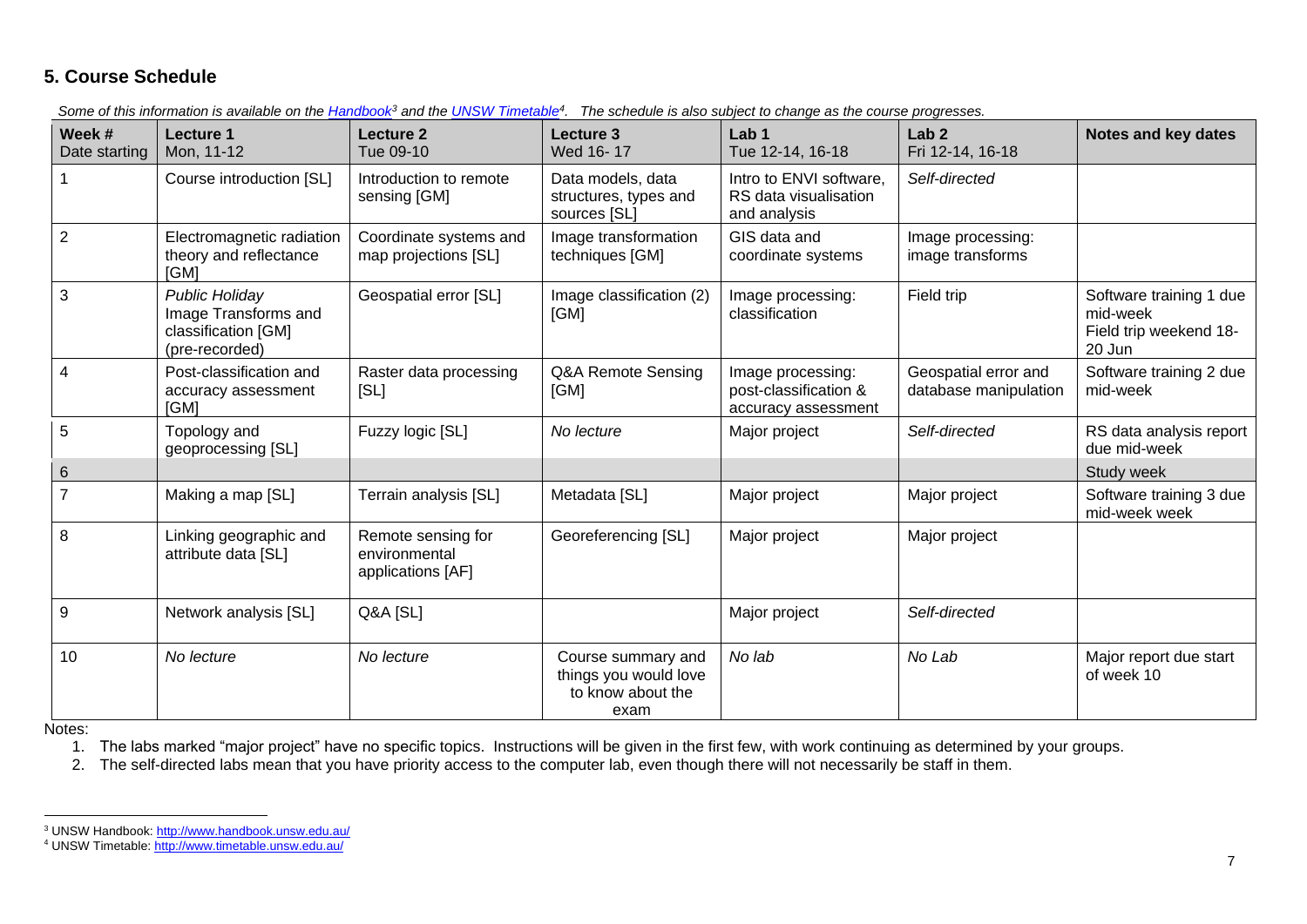#### **5. Course Schedule**

*Some of this information is available on the [Handbook](http://www.handbook.unsw.edu.au/)<sup>3</sup> and the [UNSW Timetable](http://www.timetable.unsw.edu.au/)<sup>4</sup> . The schedule is also subject to change as the course progresses.* 

| Week #<br>Date starting | Lecture 1<br>Mon, 11-12                                                                | Lecture 2<br>Tue 09-10                                   | Lecture 3<br>Wed 16-17                                                   | Lab <sub>1</sub><br>Tue 12-14, 16-18                              | Lab <sub>2</sub><br>Fri 12-14, 16-18          | Notes and key dates                                                     |
|-------------------------|----------------------------------------------------------------------------------------|----------------------------------------------------------|--------------------------------------------------------------------------|-------------------------------------------------------------------|-----------------------------------------------|-------------------------------------------------------------------------|
|                         | Course introduction [SL]                                                               | Introduction to remote<br>sensing [GM]                   | Data models, data<br>structures, types and<br>sources [SL]               | Intro to ENVI software,<br>RS data visualisation<br>and analysis  | Self-directed                                 |                                                                         |
| $\overline{2}$          | Electromagnetic radiation<br>theory and reflectance<br>[GM]                            | Coordinate systems and<br>map projections [SL]           | Image transformation<br>techniques [GM]                                  | GIS data and<br>coordinate systems                                | Image processing:<br>image transforms         |                                                                         |
| 3                       | <b>Public Holiday</b><br>Image Transforms and<br>classification [GM]<br>(pre-recorded) | Geospatial error [SL]                                    | Image classification (2)<br>[GM]                                         | Image processing:<br>classification                               | Field trip                                    | Software training 1 due<br>mid-week<br>Field trip weekend 18-<br>20 Jun |
| 4                       | Post-classification and<br>accuracy assessment<br>[GM]                                 | Raster data processing<br>[SL]                           | Q&A Remote Sensing<br>[GM]                                               | Image processing:<br>post-classification &<br>accuracy assessment | Geospatial error and<br>database manipulation | Software training 2 due<br>mid-week                                     |
| 5                       | Topology and<br>geoprocessing [SL]                                                     | Fuzzy logic [SL]                                         | No lecture                                                               | Major project                                                     | Self-directed                                 | RS data analysis report<br>due mid-week                                 |
| $6\phantom{.}$          |                                                                                        |                                                          |                                                                          |                                                                   |                                               | Study week                                                              |
|                         | Making a map [SL]                                                                      | Terrain analysis [SL]                                    | Metadata [SL]                                                            | Major project                                                     | Major project                                 | Software training 3 due<br>mid-week week                                |
| 8                       | Linking geographic and<br>attribute data [SL]                                          | Remote sensing for<br>environmental<br>applications [AF] | Georeferencing [SL]                                                      | Major project                                                     | Major project                                 |                                                                         |
| 9                       | Network analysis [SL]                                                                  | Q&A [SL]                                                 |                                                                          | Major project                                                     | Self-directed                                 |                                                                         |
| 10                      | No lecture                                                                             | No lecture                                               | Course summary and<br>things you would love<br>to know about the<br>exam | No lab                                                            | No Lab                                        | Major report due start<br>of week 10                                    |

<span id="page-6-0"></span>Notes:

1. The labs marked "major project" have no specific topics. Instructions will be given in the first few, with work continuing as determined by your groups.

2. The self-directed labs mean that you have priority access to the computer lab, even though there will not necessarily be staff in them.

<sup>&</sup>lt;sup>3</sup> UNSW Handbook:<http://www.handbook.unsw.edu.au/>

<span id="page-6-1"></span><sup>&</sup>lt;sup>4</sup> UNSW Timetable[: http://www.timetable.unsw.edu.au/](http://www.timetable.unsw.edu.au/)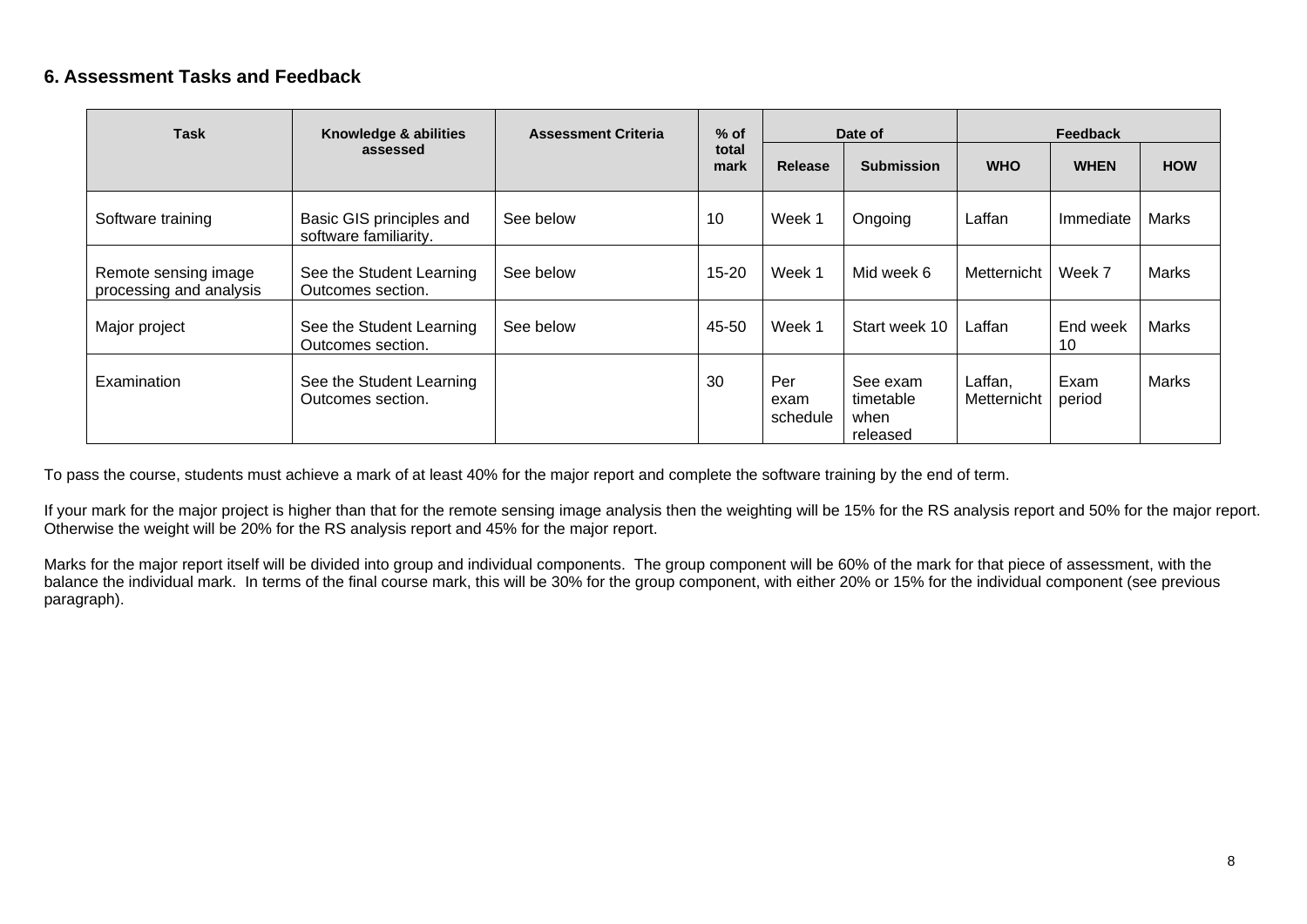#### **6. Assessment Tasks and Feedback**

| <b>Task</b>                                     | Knowledge & abilities                             | <b>Assessment Criteria</b> | $%$ of        |                         | Date of                                   |                        | <b>Feedback</b> |              |
|-------------------------------------------------|---------------------------------------------------|----------------------------|---------------|-------------------------|-------------------------------------------|------------------------|-----------------|--------------|
|                                                 | assessed                                          |                            | total<br>mark | <b>Release</b>          | <b>Submission</b>                         | <b>WHO</b>             | <b>WHEN</b>     | <b>HOW</b>   |
| Software training                               | Basic GIS principles and<br>software familiarity. | See below                  | 10            | Week 1                  | Ongoing                                   | Laffan                 | Immediate       | Marks        |
| Remote sensing image<br>processing and analysis | See the Student Learning<br>Outcomes section.     | See below                  | $15 - 20$     | Week 1                  | Mid week 6                                | Metternicht            | Week 7          | Marks        |
| Major project                                   | See the Student Learning<br>Outcomes section.     | See below                  | 45-50         | Week 1                  | Start week 10                             | Laffan                 | End week<br>10  | Marks        |
| Examination                                     | See the Student Learning<br>Outcomes section.     |                            | 30            | Per<br>exam<br>schedule | See exam<br>timetable<br>when<br>released | Laffan,<br>Metternicht | Exam<br>period  | <b>Marks</b> |

To pass the course, students must achieve a mark of at least 40% for the major report and complete the software training by the end of term.

If your mark for the major project is higher than that for the remote sensing image analysis then the weighting will be 15% for the RS analysis report and 50% for the major report. Otherwise the weight will be 20% for the RS analysis report and 45% for the major report.

Marks for the major report itself will be divided into group and individual components. The group component will be 60% of the mark for that piece of assessment, with the balance the individual mark. In terms of the final course mark, this will be 30% for the group component, with either 20% or 15% for the individual component (see previous paragraph).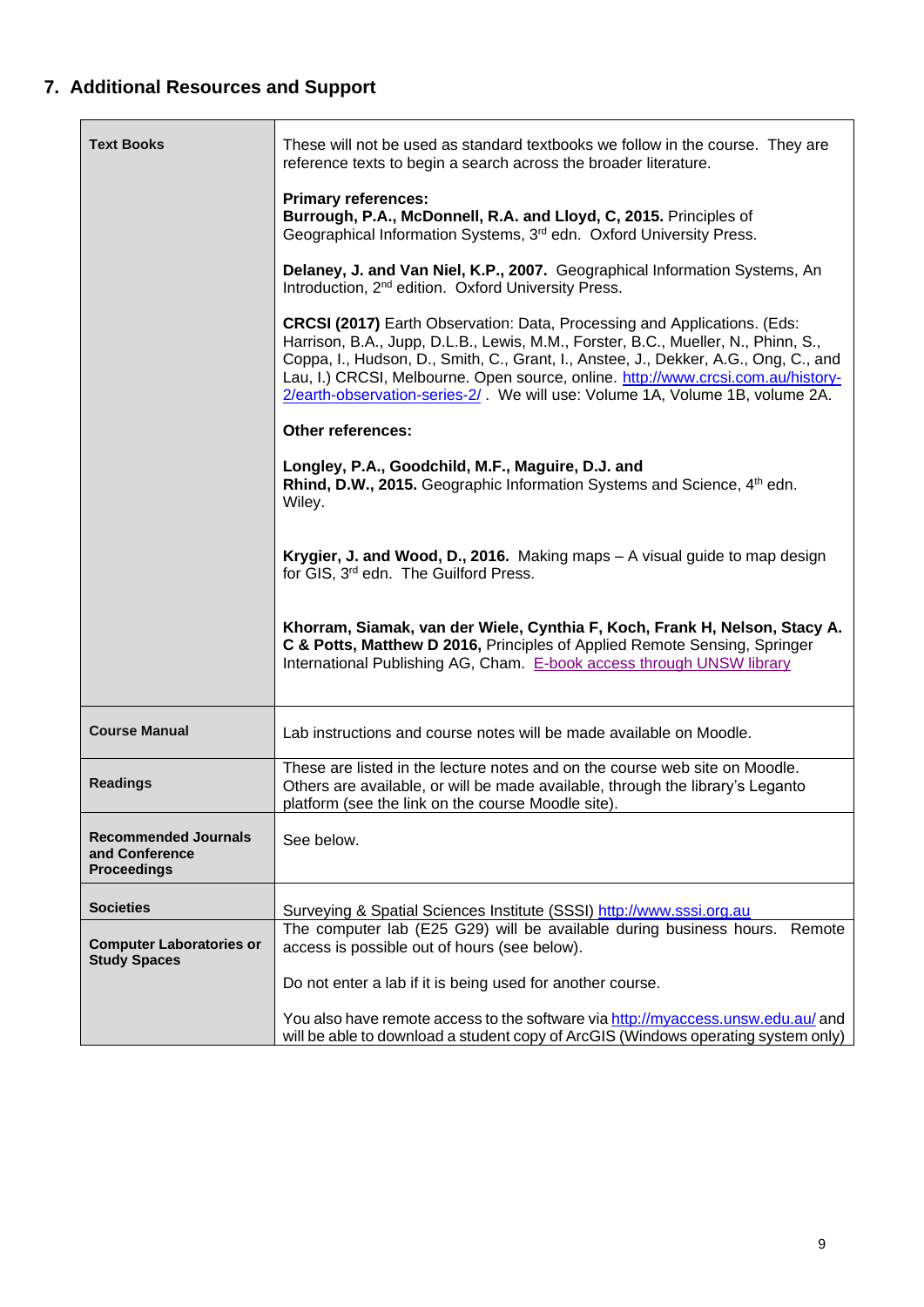# <span id="page-8-0"></span>**7. Additional Resources and Support**

<span id="page-8-1"></span>

| <b>Text Books</b>                                                   | These will not be used as standard textbooks we follow in the course. They are<br>reference texts to begin a search across the broader literature.                                                                                                                                                                                                                                                                              |
|---------------------------------------------------------------------|---------------------------------------------------------------------------------------------------------------------------------------------------------------------------------------------------------------------------------------------------------------------------------------------------------------------------------------------------------------------------------------------------------------------------------|
|                                                                     | <b>Primary references:</b><br>Burrough, P.A., McDonnell, R.A. and Lloyd, C, 2015. Principles of<br>Geographical Information Systems, 3 <sup>rd</sup> edn. Oxford University Press.                                                                                                                                                                                                                                              |
|                                                                     | Delaney, J. and Van Niel, K.P., 2007. Geographical Information Systems, An<br>Introduction, 2 <sup>nd</sup> edition. Oxford University Press.                                                                                                                                                                                                                                                                                   |
|                                                                     | <b>CRCSI (2017)</b> Earth Observation: Data, Processing and Applications. (Eds:<br>Harrison, B.A., Jupp, D.L.B., Lewis, M.M., Forster, B.C., Mueller, N., Phinn, S.,<br>Coppa, I., Hudson, D., Smith, C., Grant, I., Anstee, J., Dekker, A.G., Ong, C., and<br>Lau, I.) CRCSI, Melbourne. Open source, online. http://www.crcsi.com.au/history-<br>2/earth-observation-series-2/. We will use: Volume 1A, Volume 1B, volume 2A. |
|                                                                     | Other references:                                                                                                                                                                                                                                                                                                                                                                                                               |
|                                                                     | Longley, P.A., Goodchild, M.F., Maguire, D.J. and<br>Rhind, D.W., 2015. Geographic Information Systems and Science, 4 <sup>th</sup> edn.<br>Wiley.                                                                                                                                                                                                                                                                              |
|                                                                     | Krygier, J. and Wood, D., 2016. Making maps - A visual guide to map design<br>for GIS, 3rd edn. The Guilford Press.                                                                                                                                                                                                                                                                                                             |
|                                                                     | Khorram, Siamak, van der Wiele, Cynthia F, Koch, Frank H, Nelson, Stacy A.<br>C & Potts, Matthew D 2016, Principles of Applied Remote Sensing, Springer<br>International Publishing AG, Cham. E-book access through UNSW library                                                                                                                                                                                                |
| <b>Course Manual</b>                                                | Lab instructions and course notes will be made available on Moodle.                                                                                                                                                                                                                                                                                                                                                             |
| <b>Readings</b>                                                     | These are listed in the lecture notes and on the course web site on Moodle.<br>Others are available, or will be made available, through the library's Leganto<br>platform (see the link on the course Moodle site).                                                                                                                                                                                                             |
| <b>Recommended Journals</b><br>and Conference<br><b>Proceedings</b> | See below.                                                                                                                                                                                                                                                                                                                                                                                                                      |
| <b>Societies</b>                                                    | Surveying & Spatial Sciences Institute (SSSI) http://www.sssi.org.au                                                                                                                                                                                                                                                                                                                                                            |
| <b>Computer Laboratories or</b><br><b>Study Spaces</b>              | The computer lab (E25 G29) will be available during business hours. Remote<br>access is possible out of hours (see below).                                                                                                                                                                                                                                                                                                      |
|                                                                     | Do not enter a lab if it is being used for another course.                                                                                                                                                                                                                                                                                                                                                                      |
|                                                                     | You also have remote access to the software via http://myaccess.unsw.edu.au/ and<br>will be able to download a student copy of ArcGIS (Windows operating system only)                                                                                                                                                                                                                                                           |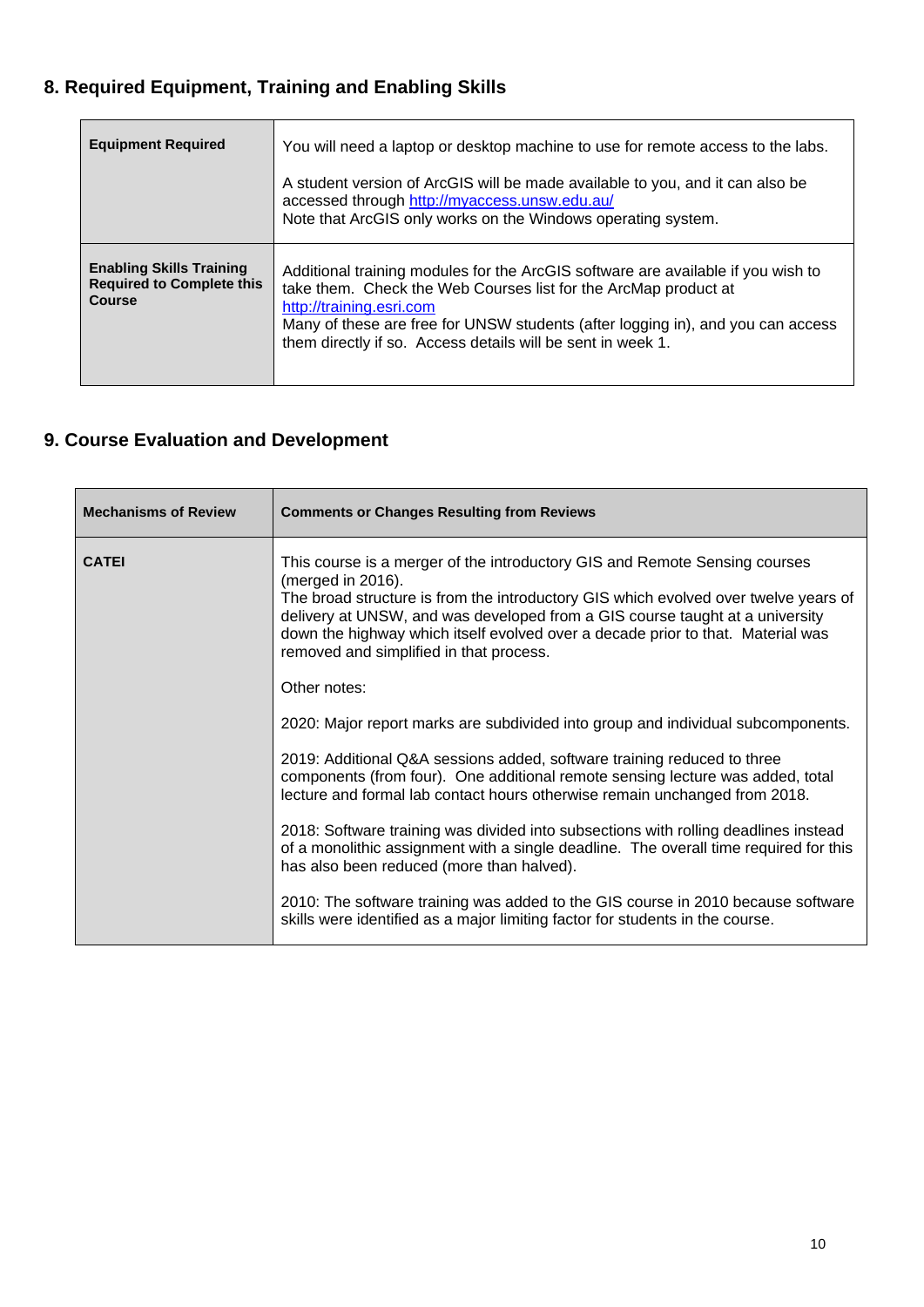# **8. Required Equipment, Training and Enabling Skills**

| <b>Equipment Required</b>                                                            | You will need a laptop or desktop machine to use for remote access to the labs.<br>A student version of ArcGIS will be made available to you, and it can also be<br>accessed through http://myaccess.unsw.edu.au/<br>Note that ArcGIS only works on the Windows operating system.                                                 |
|--------------------------------------------------------------------------------------|-----------------------------------------------------------------------------------------------------------------------------------------------------------------------------------------------------------------------------------------------------------------------------------------------------------------------------------|
| <b>Enabling Skills Training</b><br><b>Required to Complete this</b><br><b>Course</b> | Additional training modules for the ArcGIS software are available if you wish to<br>take them. Check the Web Courses list for the ArcMap product at<br>http://training.esri.com<br>Many of these are free for UNSW students (after logging in), and you can access<br>them directly if so. Access details will be sent in week 1. |

# <span id="page-9-0"></span>**9. Course Evaluation and Development**

| <b>Mechanisms of Review</b> | <b>Comments or Changes Resulting from Reviews</b>                                                                                                                                                                                                                                                                                                                                                    |
|-----------------------------|------------------------------------------------------------------------------------------------------------------------------------------------------------------------------------------------------------------------------------------------------------------------------------------------------------------------------------------------------------------------------------------------------|
| <b>CATEI</b>                | This course is a merger of the introductory GIS and Remote Sensing courses<br>(merged in 2016).<br>The broad structure is from the introductory GIS which evolved over twelve years of<br>delivery at UNSW, and was developed from a GIS course taught at a university<br>down the highway which itself evolved over a decade prior to that. Material was<br>removed and simplified in that process. |
|                             | Other notes:                                                                                                                                                                                                                                                                                                                                                                                         |
|                             | 2020: Major report marks are subdivided into group and individual subcomponents.                                                                                                                                                                                                                                                                                                                     |
|                             | 2019: Additional Q&A sessions added, software training reduced to three<br>components (from four). One additional remote sensing lecture was added, total<br>lecture and formal lab contact hours otherwise remain unchanged from 2018.                                                                                                                                                              |
|                             | 2018: Software training was divided into subsections with rolling deadlines instead<br>of a monolithic assignment with a single deadline. The overall time required for this<br>has also been reduced (more than halved).                                                                                                                                                                            |
|                             | 2010: The software training was added to the GIS course in 2010 because software<br>skills were identified as a major limiting factor for students in the course.                                                                                                                                                                                                                                    |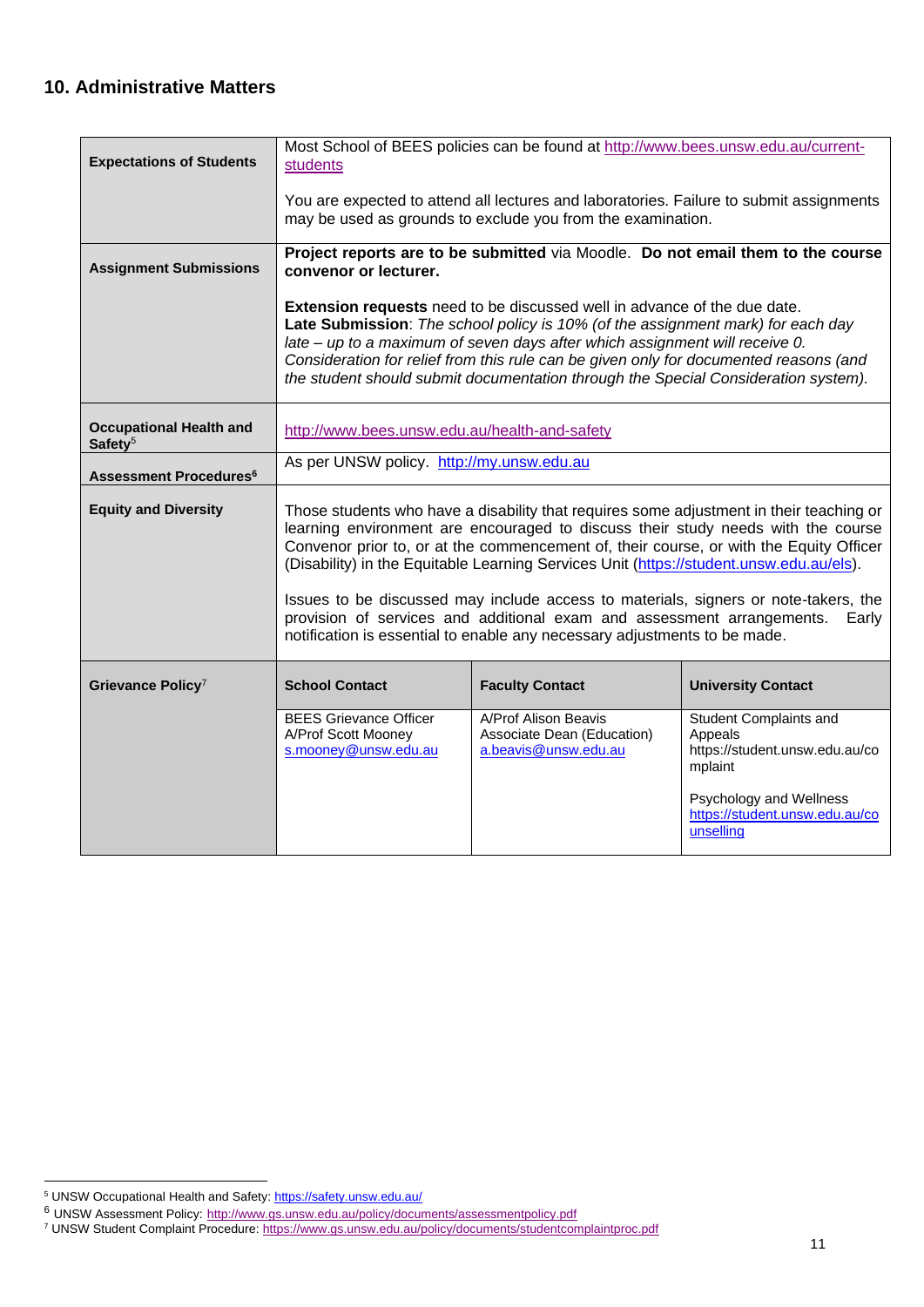### <span id="page-10-0"></span>**10. Administrative Matters**

| <b>Expectations of Students</b>                       | students                                                                                                                                                                                                                                                                                                                                                                                                                                                | Most School of BEES policies can be found at http://www.bees.unsw.edu.au/current-                                                                                                                                                                                                                                                                                                                                                |                                                                                       |  |
|-------------------------------------------------------|---------------------------------------------------------------------------------------------------------------------------------------------------------------------------------------------------------------------------------------------------------------------------------------------------------------------------------------------------------------------------------------------------------------------------------------------------------|----------------------------------------------------------------------------------------------------------------------------------------------------------------------------------------------------------------------------------------------------------------------------------------------------------------------------------------------------------------------------------------------------------------------------------|---------------------------------------------------------------------------------------|--|
|                                                       |                                                                                                                                                                                                                                                                                                                                                                                                                                                         | You are expected to attend all lectures and laboratories. Failure to submit assignments<br>may be used as grounds to exclude you from the examination.                                                                                                                                                                                                                                                                           |                                                                                       |  |
| <b>Assignment Submissions</b>                         | Project reports are to be submitted via Moodle. Do not email them to the course<br>convenor or lecturer.                                                                                                                                                                                                                                                                                                                                                |                                                                                                                                                                                                                                                                                                                                                                                                                                  |                                                                                       |  |
|                                                       |                                                                                                                                                                                                                                                                                                                                                                                                                                                         | <b>Extension requests</b> need to be discussed well in advance of the due date.<br>Late Submission: The school policy is 10% (of the assignment mark) for each day<br>late – up to a maximum of seven days after which assignment will receive 0.<br>Consideration for relief from this rule can be given only for documented reasons (and<br>the student should submit documentation through the Special Consideration system). |                                                                                       |  |
| <b>Occupational Health and</b><br>Safety <sup>5</sup> | http://www.bees.unsw.edu.au/health-and-safety                                                                                                                                                                                                                                                                                                                                                                                                           |                                                                                                                                                                                                                                                                                                                                                                                                                                  |                                                                                       |  |
| <b>Assessment Procedures<sup>6</sup></b>              | As per UNSW policy. http://my.unsw.edu.au                                                                                                                                                                                                                                                                                                                                                                                                               |                                                                                                                                                                                                                                                                                                                                                                                                                                  |                                                                                       |  |
| <b>Equity and Diversity</b>                           | Those students who have a disability that requires some adjustment in their teaching or<br>learning environment are encouraged to discuss their study needs with the course<br>Convenor prior to, or at the commencement of, their course, or with the Equity Officer<br>(Disability) in the Equitable Learning Services Unit (https://student.unsw.edu.au/els).<br>Issues to be discussed may include access to materials, signers or note-takers, the |                                                                                                                                                                                                                                                                                                                                                                                                                                  |                                                                                       |  |
|                                                       | provision of services and additional exam and assessment arrangements.<br>Early<br>notification is essential to enable any necessary adjustments to be made.                                                                                                                                                                                                                                                                                            |                                                                                                                                                                                                                                                                                                                                                                                                                                  |                                                                                       |  |
| Grievance Policy <sup>7</sup>                         | <b>School Contact</b>                                                                                                                                                                                                                                                                                                                                                                                                                                   | <b>Faculty Contact</b>                                                                                                                                                                                                                                                                                                                                                                                                           | <b>University Contact</b>                                                             |  |
|                                                       | <b>BEES Grievance Officer</b><br>A/Prof Scott Mooney<br>s.mooney@unsw.edu.au                                                                                                                                                                                                                                                                                                                                                                            | A/Prof Alison Beavis<br>Associate Dean (Education)<br>a.beavis@unsw.edu.au                                                                                                                                                                                                                                                                                                                                                       | <b>Student Complaints and</b><br>Appeals<br>https://student.unsw.edu.au/co<br>mplaint |  |
|                                                       |                                                                                                                                                                                                                                                                                                                                                                                                                                                         |                                                                                                                                                                                                                                                                                                                                                                                                                                  | Psychology and Wellness<br>https://student.unsw.edu.au/co<br>unselling                |  |

<sup>5</sup> UNSW Occupational Health and Safety: <https://safety.unsw.edu.au/>

<sup>&</sup>lt;sup>6</sup> UNSW Assessment Policy: <http://www.gs.unsw.edu.au/policy/documents/assessmentpolicy.pdf>

<sup>7</sup> UNSW Student Complaint Procedure[: https://www.gs.unsw.edu.au/policy/documents/studentcomplaintproc.pdf](https://www.gs.unsw.edu.au/policy/documents/studentcomplaintproc.pdf)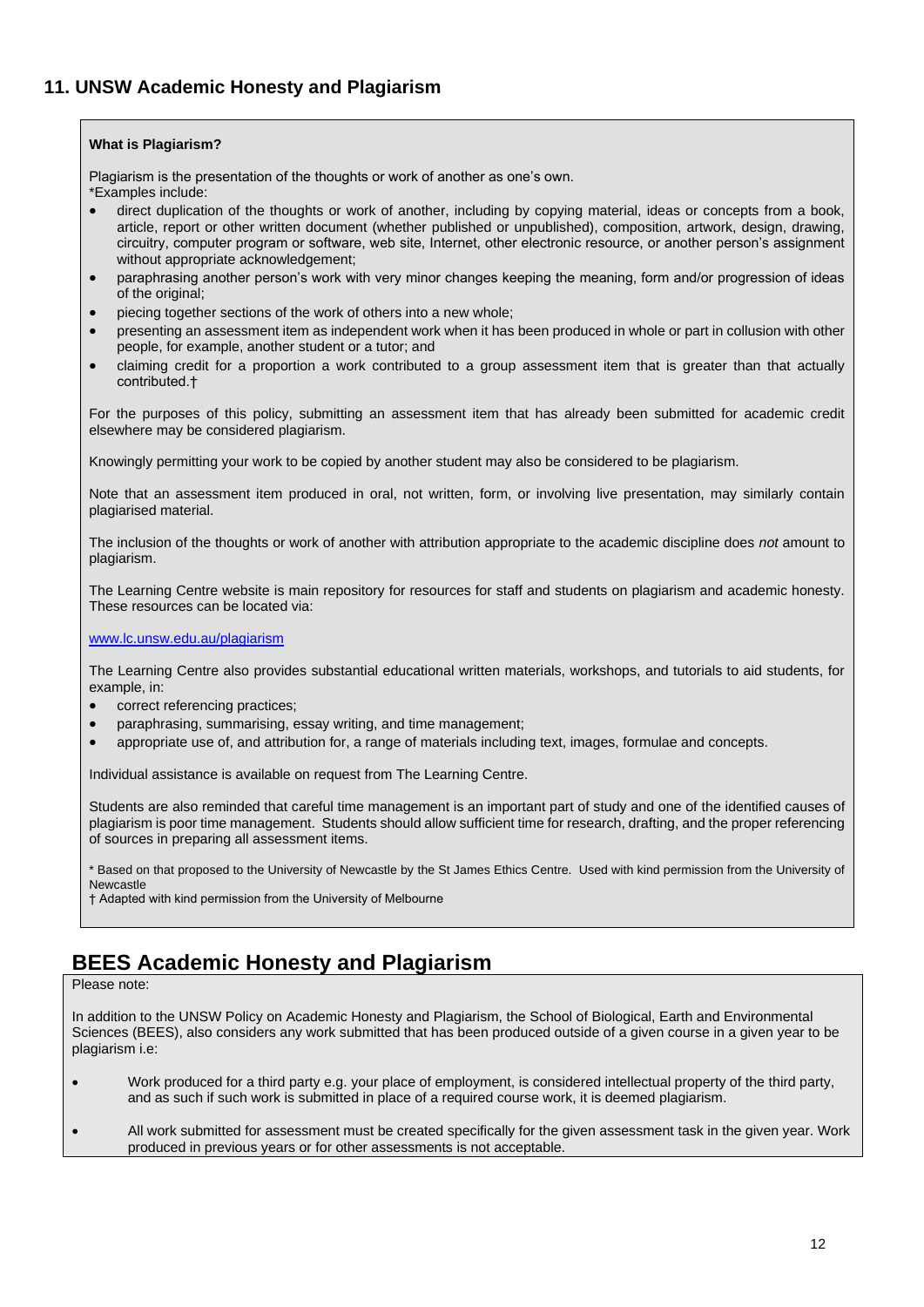#### <span id="page-11-0"></span>**What is Plagiarism?**

Plagiarism is the presentation of the thoughts or work of another as one's own.

\*Examples include:

- direct duplication of the thoughts or work of another, including by copying material, ideas or concepts from a book, article, report or other written document (whether published or unpublished), composition, artwork, design, drawing, circuitry, computer program or software, web site, Internet, other electronic resource, or another person's assignment without appropriate acknowledgement;
- paraphrasing another person's work with very minor changes keeping the meaning, form and/or progression of ideas of the original;
- piecing together sections of the work of others into a new whole;
- presenting an assessment item as independent work when it has been produced in whole or part in collusion with other people, for example, another student or a tutor; and
- claiming credit for a proportion a work contributed to a group assessment item that is greater than that actually contributed.†

For the purposes of this policy, submitting an assessment item that has already been submitted for academic credit elsewhere may be considered plagiarism.

Knowingly permitting your work to be copied by another student may also be considered to be plagiarism.

Note that an assessment item produced in oral, not written, form, or involving live presentation, may similarly contain plagiarised material.

The inclusion of the thoughts or work of another with attribution appropriate to the academic discipline does *not* amount to plagiarism.

The Learning Centre website is main repository for resources for staff and students on plagiarism and academic honesty. These resources can be located via:

#### [www.lc.unsw.edu.au/plagiarism](http://www.lc.unsw.edu.au/plagiarism)

The Learning Centre also provides substantial educational written materials, workshops, and tutorials to aid students, for example, in:

- correct referencing practices;
- paraphrasing, summarising, essay writing, and time management;
- appropriate use of, and attribution for, a range of materials including text, images, formulae and concepts.

Individual assistance is available on request from The Learning Centre.

Students are also reminded that careful time management is an important part of study and one of the identified causes of plagiarism is poor time management. Students should allow sufficient time for research, drafting, and the proper referencing of sources in preparing all assessment items.

\* Based on that proposed to the University of Newcastle by the St James Ethics Centre. Used with kind permission from the University of Newcastle

† Adapted with kind permission from the University of Melbourne

### **BEES Academic Honesty and Plagiarism**

Please note:

In addition to the UNSW Policy on Academic Honesty and Plagiarism, the School of Biological, Earth and Environmental Sciences (BEES), also considers any work submitted that has been produced outside of a given course in a given year to be plagiarism i.e:

- Work produced for a third party e.g. your place of employment, is considered intellectual property of the third party, and as such if such work is submitted in place of a required course work, it is deemed plagiarism.
- All work submitted for assessment must be created specifically for the given assessment task in the given year. Work produced in previous years or for other assessments is not acceptable.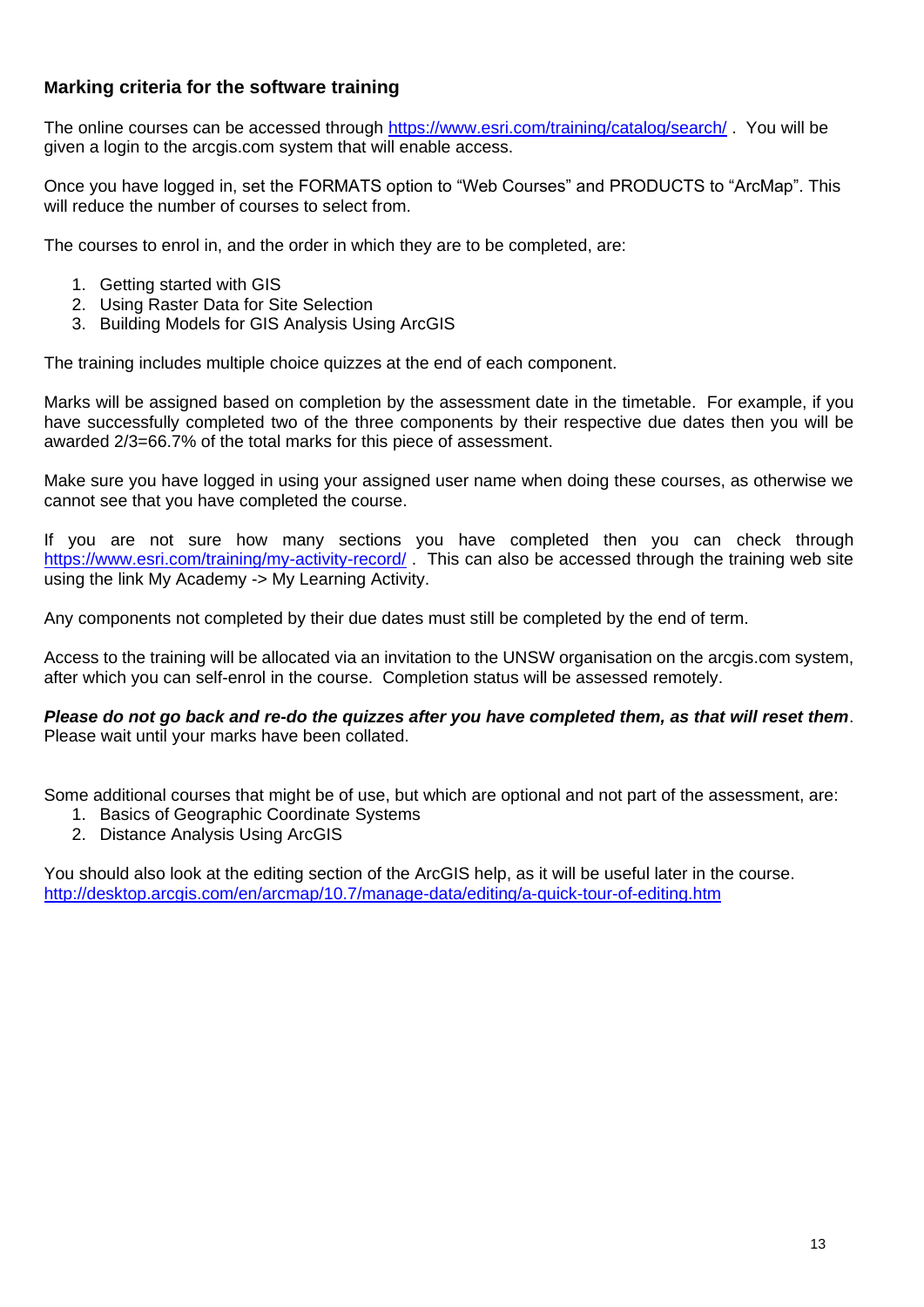### **Marking criteria for the software training**

The online courses can be accessed through<https://www.esri.com/training/catalog/search/> . You will be given a login to the arcgis.com system that will enable access.

Once you have logged in, set the FORMATS option to "Web Courses" and PRODUCTS to "ArcMap". This will reduce the number of courses to select from.

The courses to enrol in, and the order in which they are to be completed, are:

- 1. Getting started with GIS
- 2. Using Raster Data for Site Selection
- 3. Building Models for GIS Analysis Using ArcGIS

The training includes multiple choice quizzes at the end of each component.

Marks will be assigned based on completion by the assessment date in the timetable. For example, if you have successfully completed two of the three components by their respective due dates then you will be awarded 2/3=66.7% of the total marks for this piece of assessment.

Make sure you have logged in using your assigned user name when doing these courses, as otherwise we cannot see that you have completed the course.

If you are not sure how many sections you have completed then you can check through <https://www.esri.com/training/my-activity-record/> This can also be accessed through the training web site using the link My Academy -> My Learning Activity.

Any components not completed by their due dates must still be completed by the end of term.

Access to the training will be allocated via an invitation to the UNSW organisation on the arcgis.com system, after which you can self-enrol in the course. Completion status will be assessed remotely.

*Please do not go back and re-do the quizzes after you have completed them, as that will reset them*. Please wait until your marks have been collated.

Some additional courses that might be of use, but which are optional and not part of the assessment, are:

- 1. Basics of Geographic Coordinate Systems
- 2. Distance Analysis Using ArcGIS

You should also look at the editing section of the ArcGIS help, as it will be useful later in the course. <http://desktop.arcgis.com/en/arcmap/10.7/manage-data/editing/a-quick-tour-of-editing.htm>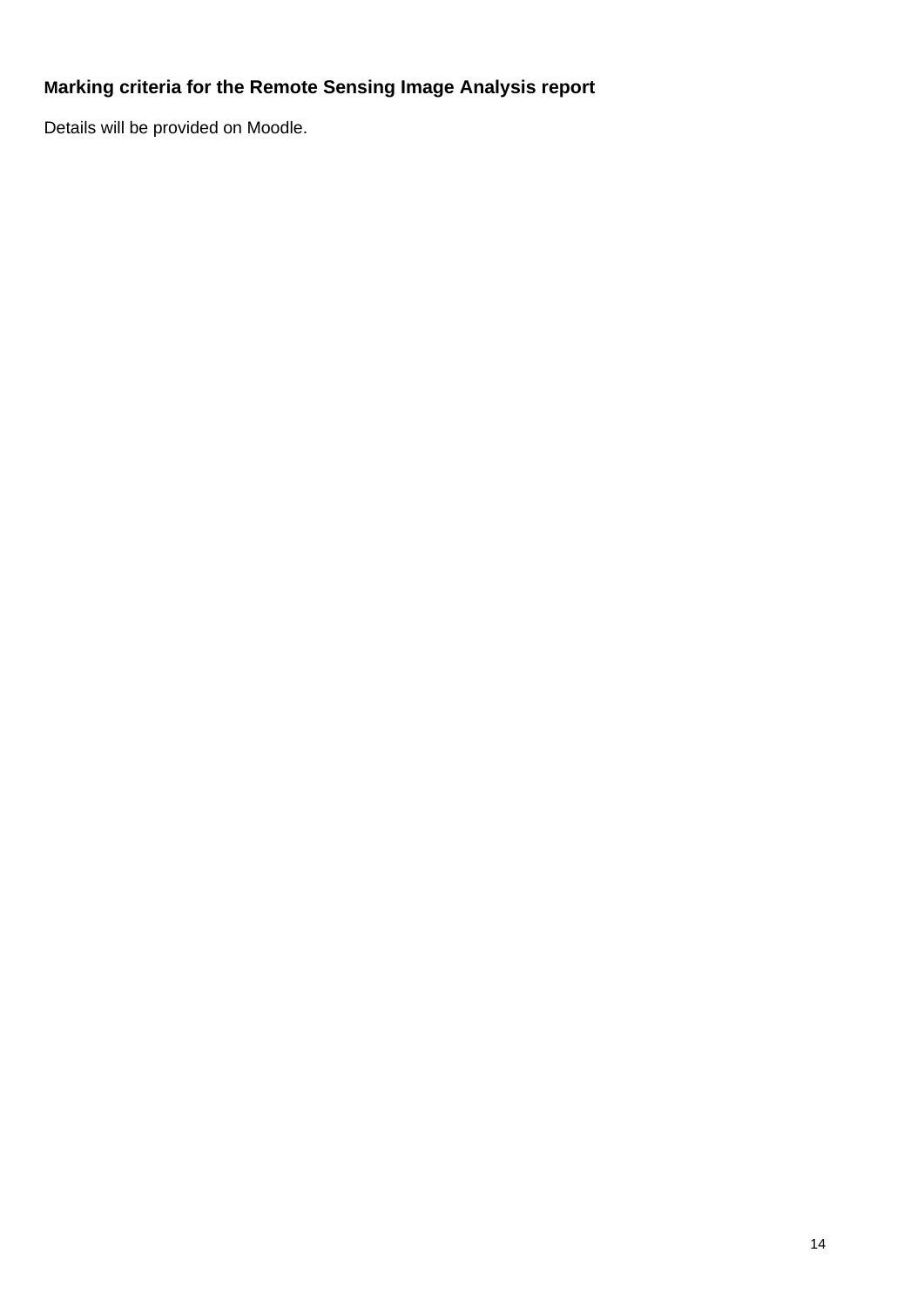# **Marking criteria for the Remote Sensing Image Analysis report**

Details will be provided on Moodle.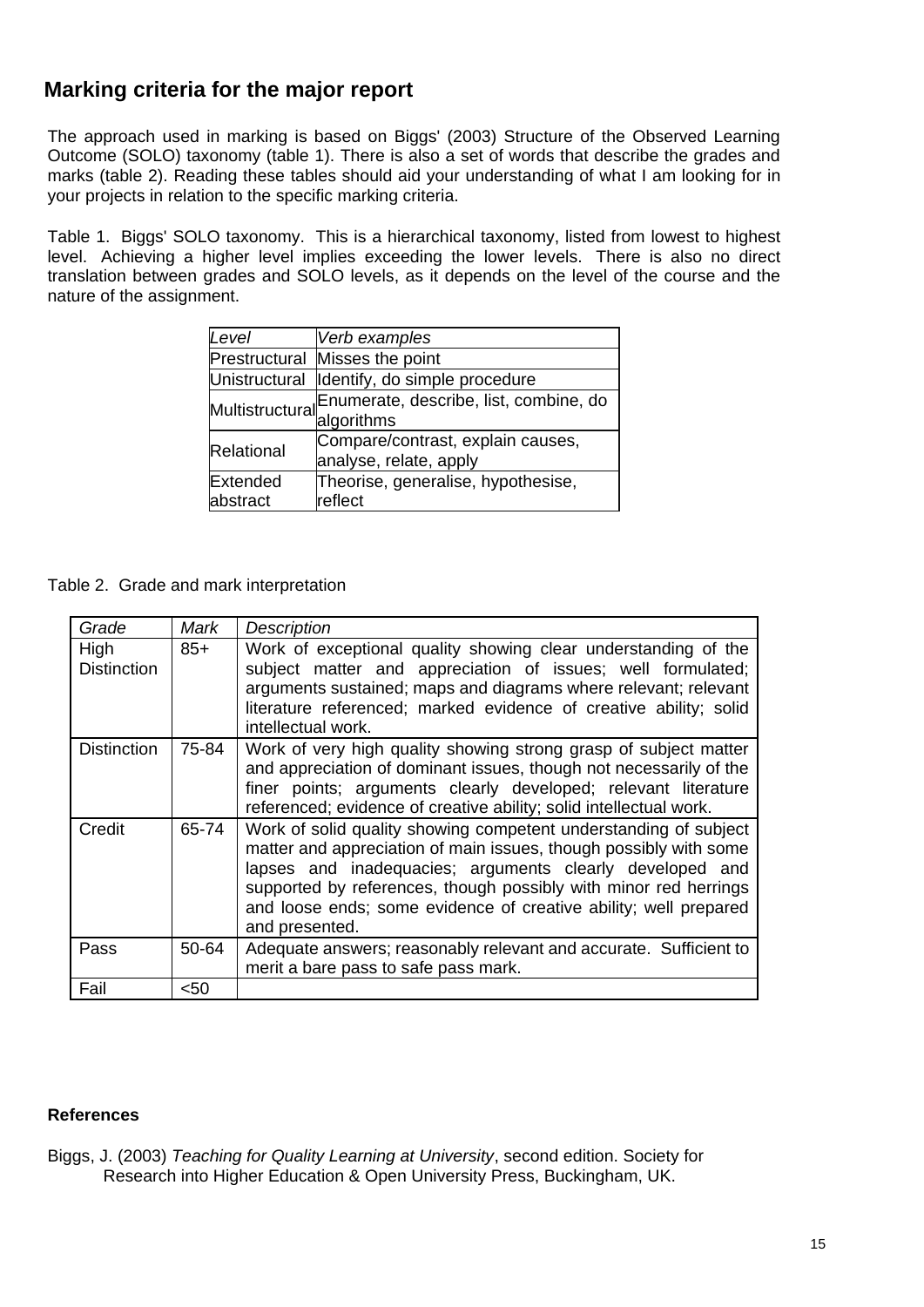### **Marking criteria for the major report**

The approach used in marking is based on Biggs' (2003) Structure of the Observed Learning Outcome (SOLO) taxonomy (table 1). There is also a set of words that describe the grades and marks (table 2). Reading these tables should aid your understanding of what I am looking for in your projects in relation to the specific marking criteria.

Table 1. Biggs' SOLO taxonomy. This is a hierarchical taxonomy, listed from lowest to highest level. Achieving a higher level implies exceeding the lower levels. There is also no direct translation between grades and SOLO levels, as it depends on the level of the course and the nature of the assignment.

| Level      | Verb examples                                                                       |  |  |
|------------|-------------------------------------------------------------------------------------|--|--|
|            | Prestructural Misses the point                                                      |  |  |
|            | Unistructural Identify, do simple procedure                                         |  |  |
|            | MultistructuralEnumerate, describe, list, combine, do<br>Multistructural algorithms |  |  |
| Relational | Compare/contrast, explain causes,<br>analyse, relate, apply                         |  |  |
| Extended   | Theorise, generalise, hypothesise,                                                  |  |  |
| abstract   | reflect                                                                             |  |  |

Table 2. Grade and mark interpretation

| Grade                      | Mark  | <b>Description</b>                                                                                                                                                                                                                                                                                                                                          |
|----------------------------|-------|-------------------------------------------------------------------------------------------------------------------------------------------------------------------------------------------------------------------------------------------------------------------------------------------------------------------------------------------------------------|
| High<br><b>Distinction</b> | $85+$ | Work of exceptional quality showing clear understanding of the<br>subject matter and appreciation of issues; well formulated;<br>arguments sustained; maps and diagrams where relevant; relevant<br>literature referenced; marked evidence of creative ability; solid<br>intellectual work.                                                                 |
| <b>Distinction</b>         | 75-84 | Work of very high quality showing strong grasp of subject matter<br>and appreciation of dominant issues, though not necessarily of the<br>finer points; arguments clearly developed; relevant literature<br>referenced; evidence of creative ability; solid intellectual work.                                                                              |
| Credit                     | 65-74 | Work of solid quality showing competent understanding of subject<br>matter and appreciation of main issues, though possibly with some<br>lapses and inadequacies; arguments clearly developed and<br>supported by references, though possibly with minor red herrings<br>and loose ends; some evidence of creative ability; well prepared<br>and presented. |
| Pass                       | 50-64 | Adequate answers; reasonably relevant and accurate. Sufficient to<br>merit a bare pass to safe pass mark.                                                                                                                                                                                                                                                   |
| Fail                       | $50$  |                                                                                                                                                                                                                                                                                                                                                             |

#### **References**

Biggs, J. (2003) *Teaching for Quality Learning at University*, second edition. Society for Research into Higher Education & Open University Press, Buckingham, UK.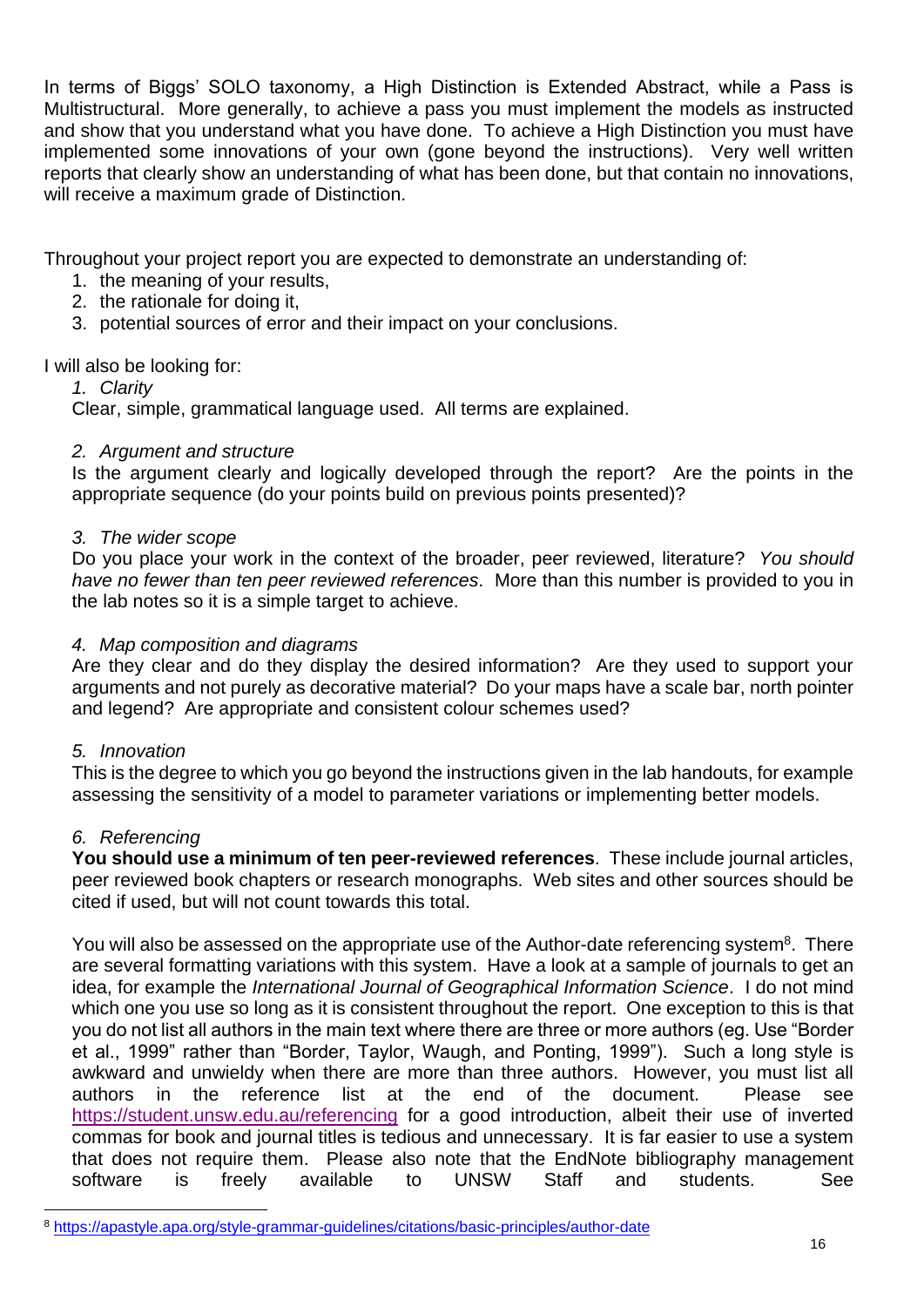In terms of Biggs' SOLO taxonomy, a High Distinction is Extended Abstract, while a Pass is Multistructural. More generally, to achieve a pass you must implement the models as instructed and show that you understand what you have done. To achieve a High Distinction you must have implemented some innovations of your own (gone beyond the instructions). Very well written reports that clearly show an understanding of what has been done, but that contain no innovations, will receive a maximum grade of Distinction.

Throughout your project report you are expected to demonstrate an understanding of:

- 1. the meaning of your results,
- 2. the rationale for doing it,
- 3. potential sources of error and their impact on your conclusions.

I will also be looking for:

### *1. Clarity*

Clear, simple, grammatical language used. All terms are explained.

### *2. Argument and structure*

Is the argument clearly and logically developed through the report? Are the points in the appropriate sequence (do your points build on previous points presented)?

### *3. The wider scope*

Do you place your work in the context of the broader, peer reviewed, literature? *You should have no fewer than ten peer reviewed references*. More than this number is provided to you in the lab notes so it is a simple target to achieve.

### *4. Map composition and diagrams*

Are they clear and do they display the desired information? Are they used to support your arguments and not purely as decorative material? Do your maps have a scale bar, north pointer and legend? Are appropriate and consistent colour schemes used?

### *5. Innovation*

This is the degree to which you go beyond the instructions given in the lab handouts, for example assessing the sensitivity of a model to parameter variations or implementing better models.

### *6. Referencing*

**You should use a minimum of ten peer-reviewed references**. These include journal articles, peer reviewed book chapters or research monographs. Web sites and other sources should be cited if used, but will not count towards this total.

You will also be assessed on the appropriate use of the Author-date referencing system<sup>8</sup>. There are several formatting variations with this system. Have a look at a sample of journals to get an idea, for example the *International Journal of Geographical Information Science*. I do not mind which one you use so long as it is consistent throughout the report. One exception to this is that you do not list all authors in the main text where there are three or more authors (eg. Use "Border et al., 1999" rather than "Border, Taylor, Waugh, and Ponting, 1999"). Such a long style is awkward and unwieldy when there are more than three authors. However, you must list all authors in the reference list at the end of the document. Please see <https://student.unsw.edu.au/referencing> for a good introduction, albeit their use of inverted commas for book and journal titles is tedious and unnecessary. It is far easier to use a system that does not require them. Please also note that the EndNote bibliography management software is freely available to UNSW Staff and students. See

<sup>8</sup> <https://apastyle.apa.org/style-grammar-guidelines/citations/basic-principles/author-date>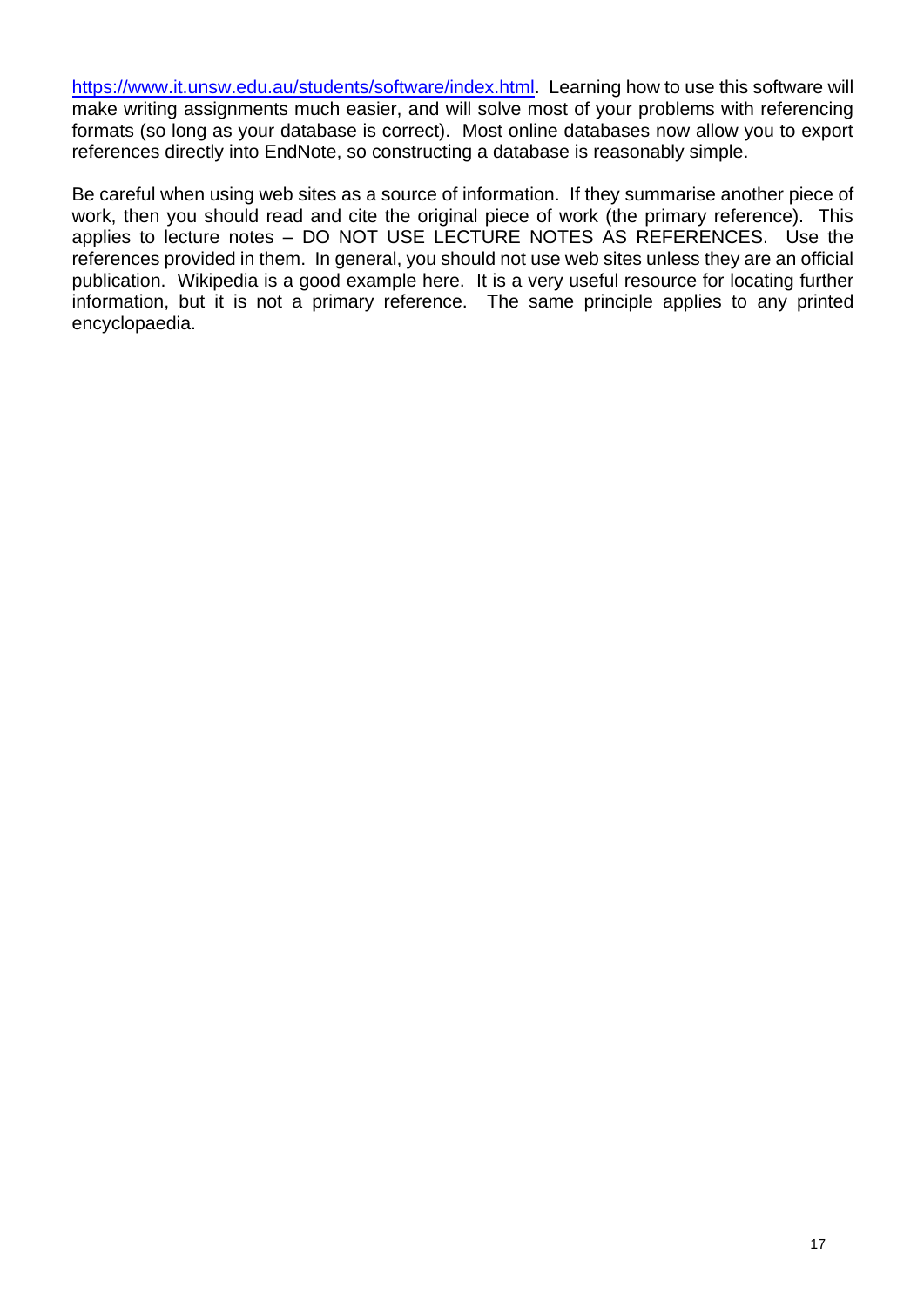[https://www.it.unsw.edu.au/students/software/index.html.](https://www.it.unsw.edu.au/students/software/index.html) Learning how to use this software will make writing assignments much easier, and will solve most of your problems with referencing formats (so long as your database is correct). Most online databases now allow you to export references directly into EndNote, so constructing a database is reasonably simple.

Be careful when using web sites as a source of information. If they summarise another piece of work, then you should read and cite the original piece of work (the primary reference). This applies to lecture notes – DO NOT USE LECTURE NOTES AS REFERENCES. Use the references provided in them. In general, you should not use web sites unless they are an official publication. Wikipedia is a good example here. It is a very useful resource for locating further information, but it is not a primary reference. The same principle applies to any printed encyclopaedia.